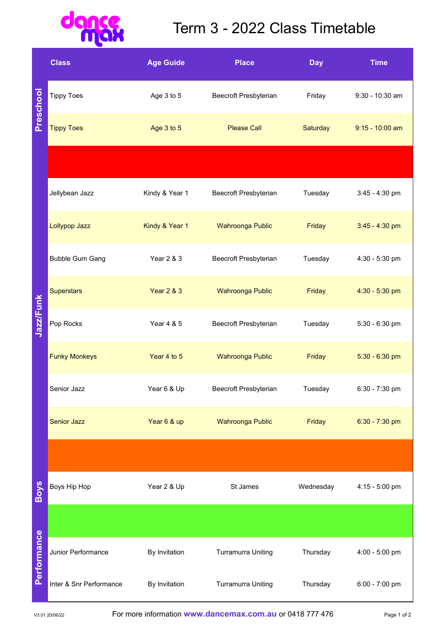## $\mathbf{d}$ LO ance<br>Max

## Term 3 - 2022 Class Timetable

|             | <b>Class</b>            | <b>Age Guide</b>      | <b>Place</b>                 | <b>Day</b>      | <b>Time</b>       |
|-------------|-------------------------|-----------------------|------------------------------|-----------------|-------------------|
| Preschool   | <b>Tippy Toes</b>       | Age 3 to 5            | <b>Beecroft Presbyterian</b> | Friday          | 9:30 - 10:30 am   |
|             | <b>Tippy Toes</b>       | Age 3 to 5            | <b>Please Call</b>           | <b>Saturday</b> | $9:15 - 10:00$ am |
|             |                         |                       |                              |                 |                   |
| Jazz/Funk   | Jellybean Jazz          | Kindy & Year 1        | Beecroft Presbyterian        | Tuesday         | 3:45 - 4:30 pm    |
|             | Lollypop Jazz           | Kindy & Year 1        | <b>Wahroonga Public</b>      | Friday          | $3:45 - 4:30$ pm  |
|             | <b>Bubble Gum Gang</b>  | Year 2 & 3            | Beecroft Presbyterian        | Tuesday         | 4:30 - 5:30 pm    |
|             | <b>Superstars</b>       | <b>Year 2 &amp; 3</b> | <b>Wahroonga Public</b>      | Friday          | 4:30 - 5:30 pm    |
|             | Pop Rocks               | Year 4 & 5            | Beecroft Presbyterian        | Tuesday         | 5:30 - 6:30 pm    |
|             | <b>Funky Monkeys</b>    | Year 4 to 5           | <b>Wahroonga Public</b>      | Friday          | $5:30 - 6:30$ pm  |
|             | Senior Jazz             | Year 6 & Up           | Beecroft Presbyterian        | Tuesday         | 6:30 - 7:30 pm    |
|             | <b>Senior Jazz</b>      | Year 6 & up           | Wahroonga Public             | Friday          | 6:30 - 7:30 pm    |
|             |                         |                       |                              |                 |                   |
| <b>Boys</b> | Boys Hip Hop            | Year 2 & Up           | St James                     | Wednesday       | 4:15 - 5:00 pm    |
| Performance |                         |                       |                              |                 |                   |
|             | Junior Performance      | By Invitation         | <b>Turramurra Uniting</b>    | Thursday        | 4:00 - 5:00 pm    |
|             | Inter & Snr Performance | By Invitation         | <b>Turramurra Uniting</b>    | Thursday        | 6:00 - 7:00 pm    |